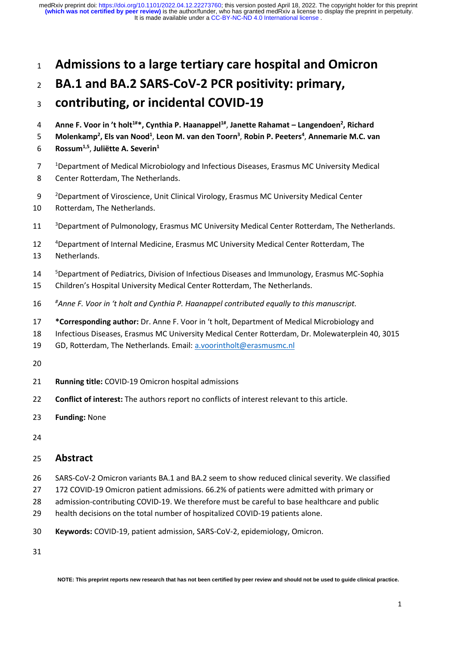## **Admissions to a large tertiary care hospital and Omicron**

# **BA.1 and BA.2 SARS-CoV-2 PCR positivity: primary,**

# **contributing, or incidental COVID-19**

- **Anne F. Voor in 't holt1#\*, Cynthia P. Haanappel1#** , **Janette Rahamat – Langendoen<sup>2</sup> , Richard**
- **Molenkamp<sup>2</sup> , Els van Nood<sup>1</sup>** , **Leon M. van den Toorn<sup>3</sup>** , **Robin P. Peeters<sup>4</sup>** , **Annemarie M.C. van**
- **Rossum1,5** , **Juliëtte A. Severin<sup>1</sup>**
- <sup>1</sup> Department of Medical Microbiology and Infectious Diseases, Erasmus MC University Medical
- Center Rotterdam, The Netherlands.
- 9 <sup>2</sup> Department of Viroscience, Unit Clinical Virology, Erasmus MC University Medical Center
- Rotterdam, The Netherlands.
- <sup>3</sup> Department of Pulmonology, Erasmus MC University Medical Center Rotterdam, The Netherlands.
- 12 <sup>4</sup> Department of Internal Medicine, Erasmus MC University Medical Center Rotterdam, The
- Netherlands.
- **Bepartment of Pediatrics, Division of Infectious Diseases and Immunology, Erasmus MC-Sophia**
- Children's Hospital University Medical Center Rotterdam, The Netherlands.
- *# Anne F. Voor in 't holt and Cynthia P. Haanappel contributed equally to this manuscript.*
- **\*Corresponding author:** Dr. Anne F. Voor in 't holt, Department of Medical Microbiology and
- Infectious Diseases, Erasmus MC University Medical Center Rotterdam, Dr. Molewaterplein 40, 3015
- GD, Rotterdam, The Netherlands. Email[: a.voorintholt@erasmusmc.nl](mailto:a.voorintholt@erasmusmc.nl)
- 
- **Running title:** COVID-19 Omicron hospital admissions
- **Conflict of interest:** The authors report no conflicts of interest relevant to this article.
- **Funding:** None
- 

## **Abstract**

- SARS-CoV-2 Omicron variants BA.1 and BA.2 seem to show reduced clinical severity. We classified
- 172 COVID-19 Omicron patient admissions. 66.2% of patients were admitted with primary or
- admission-contributing COVID-19. We therefore must be careful to base healthcare and public
- health decisions on the total number of hospitalized COVID-19 patients alone.
- **Keywords:** COVID-19, patient admission, SARS-CoV-2, epidemiology, Omicron.

**NOTE: This preprint reports new research that has not been certified by peer review and should not be used to guide clinical practice.**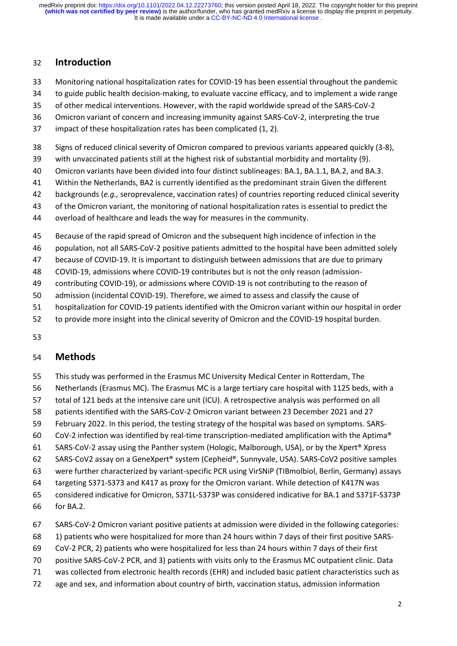#### **Introduction**

- Monitoring national hospitalization rates for COVID-19 has been essential throughout the pandemic
- to guide public health decision-making, to evaluate vaccine efficacy, and to implement a wide range
- of other medical interventions. However, with the rapid worldwide spread of the SARS-CoV-2
- Omicron variant of concern and increasing immunity against SARS-CoV-2, interpreting the true
- impact of these hospitalization rates has been complicated (1, 2).
- Signs of reduced clinical severity of Omicron compared to previous variants appeared quickly (3-8),
- with unvaccinated patients still at the highest risk of substantial morbidity and mortality (9).
- Omicron variants have been divided into four distinct sublineages: BA.1, BA.1.1, BA.2, and BA.3.
- Within the Netherlands, BA2 is currently identified as the predominant strain Given the different
- backgrounds (*e.g.,* seroprevalence, vaccination rates) of countries reporting reduced clinical severity
- of the Omicron variant, the monitoring of national hospitalization rates is essential to predict the
- overload of healthcare and leads the way for measures in the community.
- Because of the rapid spread of Omicron and the subsequent high incidence of infection in the
- population, not all SARS-CoV-2 positive patients admitted to the hospital have been admitted solely
- because of COVID-19. It is important to distinguish between admissions that are due to primary
- COVID-19, admissions where COVID-19 contributes but is not the only reason (admission-
- contributing COVID-19), or admissions where COVID-19 is not contributing to the reason of
- admission (incidental COVID-19). Therefore, we aimed to assess and classify the cause of
- hospitalization for COVID-19 patients identified with the Omicron variant within our hospital in order
- to provide more insight into the clinical severity of Omicron and the COVID-19 hospital burden.
- 

### **Methods**

- This study was performed in the Erasmus MC University Medical Center in Rotterdam, The
- Netherlands (Erasmus MC). The Erasmus MC is a large tertiary care hospital with 1125 beds, with a
- total of 121 beds at the intensive care unit (ICU). A retrospective analysis was performed on all
- patients identified with the SARS-CoV-2 Omicron variant between 23 December 2021 and 27
- February 2022. In this period, the testing strategy of the hospital was based on symptoms. SARS-
- CoV-2 infection was identified by real-time transcription-mediated amplification with the Aptima®
- SARS-CoV-2 assay using the Panther system (Hologic, Malborough, USA), or by the Xpert® Xpress
- SARS-CoV2 assay on a GeneXpert® system (Cepheid®, Sunnyvale, USA). SARS-CoV2 positive samples
- were further characterized by variant-specific PCR using VirSNiP (TIBmolbiol, Berlin, Germany) assays
- targeting S371-S373 and K417 as proxy for the Omicron variant. While detection of K417N was
- considered indicative for Omicron, S371L-S373P was considered indicative for BA.1 and S371F-S373P
- for BA.2.
- SARS-CoV-2 Omicron variant positive patients at admission were divided in the following categories:
- 1) patients who were hospitalized for more than 24 hours within 7 days of their first positive SARS-
- CoV-2 PCR, 2) patients who were hospitalized for less than 24 hours within 7 days of their first
- positive SARS-CoV-2 PCR, and 3) patients with visits only to the Erasmus MC outpatient clinic. Data
- was collected from electronic health records (EHR) and included basic patient characteristics such as
- age and sex, and information about country of birth, vaccination status, admission information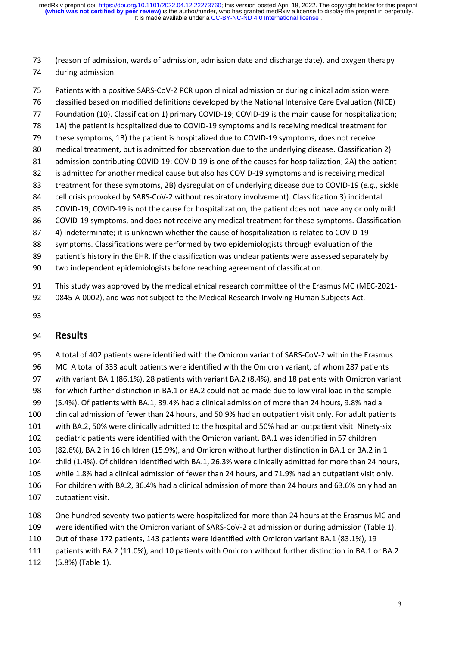(reason of admission, wards of admission, admission date and discharge date), and oxygen therapy during admission.

 Patients with a positive SARS-CoV-2 PCR upon clinical admission or during clinical admission were classified based on modified definitions developed by the National Intensive Care Evaluation (NICE) Foundation (10). Classification 1) primary COVID-19; COVID-19 is the main cause for hospitalization; 1A) the patient is hospitalized due to COVID-19 symptoms and is receiving medical treatment for these symptoms, 1B) the patient is hospitalized due to COVID-19 symptoms, does not receive medical treatment, but is admitted for observation due to the underlying disease. Classification 2) admission-contributing COVID-19; COVID-19 is one of the causes for hospitalization; 2A) the patient is admitted for another medical cause but also has COVID-19 symptoms and is receiving medical treatment for these symptoms, 2B) dysregulation of underlying disease due to COVID-19 (*e.g.,* sickle cell crisis provoked by SARS-CoV-2 without respiratory involvement). Classification 3) incidental COVID-19; COVID-19 is not the cause for hospitalization, the patient does not have any or only mild 86 COVID-19 symptoms, and does not receive any medical treatment for these symptoms. Classification 4) Indeterminate; it is unknown whether the cause of hospitalization is related to COVID-19 symptoms. Classifications were performed by two epidemiologists through evaluation of the patient's history in the EHR. If the classification was unclear patients were assessed separately by two independent epidemiologists before reaching agreement of classification.

- This study was approved by the medical ethical research committee of the Erasmus MC (MEC-2021-
- 0845-A-0002), and was not subject to the Medical Research Involving Human Subjects Act.
- 

### **Results**

 A total of 402 patients were identified with the Omicron variant of SARS-CoV-2 within the Erasmus MC. A total of 333 adult patients were identified with the Omicron variant, of whom 287 patients with variant BA.1 (86.1%), 28 patients with variant BA.2 (8.4%), and 18 patients with Omicron variant for which further distinction in BA.1 or BA.2 could not be made due to low viral load in the sample (5.4%). Of patients with BA.1, 39.4% had a clinical admission of more than 24 hours, 9.8% had a clinical admission of fewer than 24 hours, and 50.9% had an outpatient visit only. For adult patients with BA.2, 50% were clinically admitted to the hospital and 50% had an outpatient visit. Ninety-six pediatric patients were identified with the Omicron variant. BA.1 was identified in 57 children (82.6%), BA.2 in 16 children (15.9%), and Omicron without further distinction in BA.1 or BA.2 in 1 child (1.4%). Of children identified with BA.1, 26.3% were clinically admitted for more than 24 hours, while 1.8% had a clinical admission of fewer than 24 hours, and 71.9% had an outpatient visit only. For children with BA.2, 36.4% had a clinical admission of more than 24 hours and 63.6% only had an outpatient visit.

- One hundred seventy-two patients were hospitalized for more than 24 hours at the Erasmus MC and
- were identified with the Omicron variant of SARS-CoV-2 at admission or during admission (Table 1).
- Out of these 172 patients, 143 patients were identified with Omicron variant BA.1 (83.1%), 19
- patients with BA.2 (11.0%), and 10 patients with Omicron without further distinction in BA.1 or BA.2
- (5.8%) (Table 1).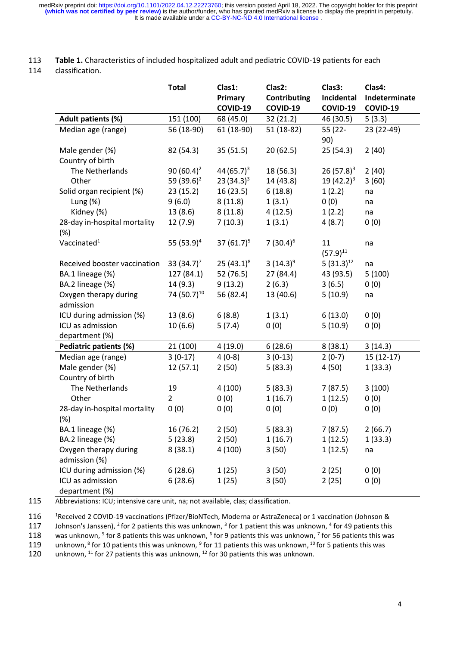It is made available under a [CC-BY-NC-ND 4.0 International license](http://creativecommons.org/licenses/by-nc-nd/4.0/) . medRxiv preprint doi: [https://doi.org/10.1101/2022.04.12.22273760;](https://doi.org/10.1101/2022.04.12.22273760) this version posted April 18, 2022. The copyright holder for this preprint<br>(which was not certified by peer review) is the author/funder, who has granted m

#### 113 **Table 1.** Characteristics of included hospitalized adult and pediatric COVID-19 patients for each

#### 114 classification.

|                                        | <b>Total</b>            | Clas1:<br>Primary | Clas2:<br>Contributing | Clas3:<br>Incidental | Clas4:<br>Indeterminate |
|----------------------------------------|-------------------------|-------------------|------------------------|----------------------|-------------------------|
|                                        |                         | COVID-19          | COVID-19               | COVID-19             | COVID-19                |
| Adult patients (%)                     | 151 (100)               | 68 (45.0)         | 32(21.2)               | 46 (30.5)            | 5(3.3)                  |
| Median age (range)                     | 56 (18-90)              | 61 (18-90)        | $51(18-82)$            | 55 (22-<br>90)       | 23 (22-49)              |
| Male gender (%)                        | 82 (54.3)               | 35(51.5)          | 20(62.5)               | 25(54.3)             | 2(40)                   |
| Country of birth                       |                         |                   |                        |                      |                         |
| The Netherlands                        | 90 $(60.4)^2$           | 44 $(65.7)^3$     | 18 (56.3)              | $26(57.8)^3$         | 2(40)                   |
| Other                                  | 59 (39.6) <sup>2</sup>  | $23(34.3)^3$      | 14 (43.8)              | $19(42.2)^3$         | 3(60)                   |
| Solid organ recipient (%)              | 23(15.2)                | 16(23.5)          | 6(18.8)                | 1(2.2)               | na                      |
| Lung $(% \mathcal{L}$ (%)              | 9(6.0)                  | 8(11.8)           | 1(3.1)                 | 0(0)                 | na                      |
| Kidney (%)                             | 13(8.6)                 | 8(11.8)           | 4(12.5)                | 1(2.2)               | na                      |
| 28-day in-hospital mortality<br>$(\%)$ | 12(7.9)                 | 7(10.3)           | 1(3.1)                 | 4(8.7)               | 0(0)                    |
| Vaccinated <sup>1</sup>                | 55 (53.9) <sup>4</sup>  | 37 $(61.7)^5$     | 7 $(30.4)^6$           | 11<br>$(57.9)^{11}$  | na                      |
| Received booster vaccination           | 33 $(34.7)^7$           | 25 $(43.1)^8$     | 3 $(14.3)^9$           | 5 $(31.3)^{12}$      | na                      |
| BA.1 lineage (%)                       | 127 (84.1)              | 52 (76.5)         | 27(84.4)               | 43 (93.5)            | 5(100)                  |
| BA.2 lineage (%)                       | 14(9.3)                 | 9(13.2)           | 2(6.3)                 | 3(6.5)               | 0(0)                    |
| Oxygen therapy during                  | 74 (50.7) <sup>10</sup> | 56 (82.4)         | 13 (40.6)              | 5(10.9)              | na                      |
| admission                              |                         |                   |                        |                      |                         |
| ICU during admission (%)               | 13 (8.6)                | 6(8.8)            | 1(3.1)                 | 6(13.0)              | 0(0)                    |
| ICU as admission                       | 10(6.6)                 | 5(7.4)            | 0(0)                   | 5(10.9)              | 0(0)                    |
| department (%)                         |                         |                   |                        |                      |                         |
| Pediatric patients (%)                 | 21 (100)                | 4(19.0)           | 6(28.6)                | 8(38.1)              | 3(14.3)                 |
| Median age (range)                     | $3(0-17)$               | $4(0-8)$          | $3(0-13)$              | $2(0-7)$             | $15(12-17)$             |
| Male gender (%)                        | 12(57.1)                | 2(50)             | 5(83.3)                | 4(50)                | 1(33.3)                 |
| Country of birth                       |                         |                   |                        |                      |                         |
| The Netherlands                        | 19                      | 4(100)            | 5(83.3)                | 7(87.5)              | 3(100)                  |
| Other                                  | $\overline{2}$          | 0(0)              | 1(16.7)                | 1(12.5)              | 0(0)                    |
| 28-day in-hospital mortality           | 0(0)                    | 0(0)              | 0(0)                   | 0(0)                 | 0(0)                    |
| $(\%)$                                 |                         |                   |                        |                      |                         |
| BA.1 lineage (%)                       | 16 (76.2)               | 2(50)             | 5(83.3)                | 7 (87.5)             | 2(66.7)                 |
| BA.2 lineage (%)                       | 5(23.8)                 | 2(50)             | 1(16.7)                | 1(12.5)              | 1(33.3)                 |
| Oxygen therapy during<br>admission (%) | 8(38.1)                 | 4(100)            | 3(50)                  | 1(12.5)              | na                      |
| ICU during admission (%)               | 6(28.6)                 | 1(25)             | 3(50)                  | 2(25)                | 0(0)                    |
| ICU as admission<br>department (%)     | 6(28.6)                 | 1(25)             | 3(50)                  | 2(25)                | 0(0)                    |

115 Abbreviations: ICU; intensive care unit, na; not available, clas; classification.

116 <sup>1</sup>Received 2 COVID-19 vaccinations (Pfizer/BioNTech, Moderna or AstraZeneca) or 1 vaccination (Johnson & 117 Johnson is Janssen), <sup>2</sup> for 2 patients this was unknown, <sup>3</sup> for 1 patient this was unknown, <sup>4</sup> for 49 pa

117 Johnson's Janssen), <sup>2</sup> for 2 patients this was unknown, <sup>3</sup> for 1 patient this was unknown, <sup>4</sup> for 49 patients this

118 was unknown,  $^5$  for 8 patients this was unknown,  $^6$  for 9 patients this was unknown,  $^7$  for 56 patients this was

119 unknown,  $8$  for 10 patients this was unknown,  $9$  for 11 patients this was unknown,  $^{10}$  for 5 patients this was

120  $\;\;$  unknown,  $^{11}$  for 27 patients this was unknown,  $^{12}$  for 30 patients this was unknown.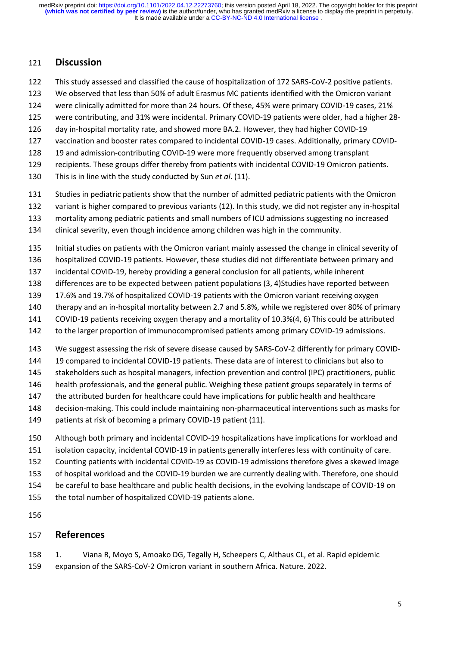#### **Discussion**

- This study assessed and classified the cause of hospitalization of 172 SARS-CoV-2 positive patients.
- We observed that less than 50% of adult Erasmus MC patients identified with the Omicron variant
- were clinically admitted for more than 24 hours. Of these, 45% were primary COVID-19 cases, 21%
- were contributing, and 31% were incidental. Primary COVID-19 patients were older, had a higher 28-
- day in-hospital mortality rate, and showed more BA.2. However, they had higher COVID-19
- vaccination and booster rates compared to incidental COVID-19 cases. Additionally, primary COVID-
- 19 and admission-contributing COVID-19 were more frequently observed among transplant
- recipients. These groups differ thereby from patients with incidental COVID-19 Omicron patients.
- This is in line with the study conducted by Sun *et al*. (11).
- Studies in pediatric patients show that the number of admitted pediatric patients with the Omicron
- variant is higher compared to previous variants (12). In this study, we did not register any in-hospital
- mortality among pediatric patients and small numbers of ICU admissions suggesting no increased
- clinical severity, even though incidence among children was high in the community.
- Initial studies on patients with the Omicron variant mainly assessed the change in clinical severity of
- hospitalized COVID-19 patients. However, these studies did not differentiate between primary and
- incidental COVID-19, hereby providing a general conclusion for all patients, while inherent
- differences are to be expected between patient populations (3, 4)Studies have reported between
- 17.6% and 19.7% of hospitalized COVID-19 patients with the Omicron variant receiving oxygen
- therapy and an in-hospital mortality between 2.7 and 5.8%, while we registered over 80% of primary
- COVID-19 patients receiving oxygen therapy and a mortality of 10.3%(4, 6) This could be attributed
- 142 to the larger proportion of immunocompromised patients among primary COVID-19 admissions.
- We suggest assessing the risk of severe disease caused by SARS-CoV-2 differently for primary COVID-
- 19 compared to incidental COVID-19 patients. These data are of interest to clinicians but also to
- 145 stakeholders such as hospital managers, infection prevention and control (IPC) practitioners, public
- health professionals, and the general public. Weighing these patient groups separately in terms of
- 147 the attributed burden for healthcare could have implications for public health and healthcare
- decision-making. This could include maintaining non-pharmaceutical interventions such as masks for
- 149 patients at risk of becoming a primary COVID-19 patient (11).
- Although both primary and incidental COVID-19 hospitalizations have implications for workload and
- isolation capacity, incidental COVID-19 in patients generally interferes less with continuity of care.
- Counting patients with incidental COVID-19 as COVID-19 admissions therefore gives a skewed image
- of hospital workload and the COVID-19 burden we are currently dealing with. Therefore, one should
- be careful to base healthcare and public health decisions, in the evolving landscape of COVID-19 on
- the total number of hospitalized COVID-19 patients alone.

#### **References**

 1. Viana R, Moyo S, Amoako DG, Tegally H, Scheepers C, Althaus CL, et al. Rapid epidemic expansion of the SARS-CoV-2 Omicron variant in southern Africa. Nature. 2022.